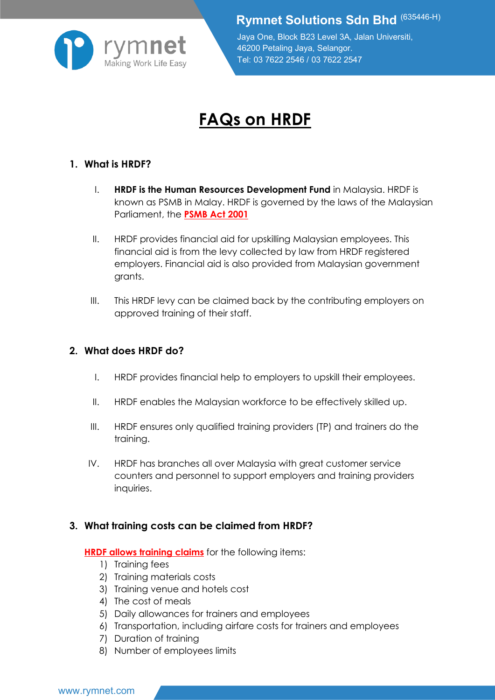

**Rymnet Solutions Sdn Bhd** (635446-H)

Jaya One, Block B23 Level 3A, Jalan Universiti, 46200 Petaling Jaya, Selangor. Tel: 03 7622 2546 / 03 7622 2547

# **FAQs on HRDF**

## **1. What is HRDF?**

- I. **HRDF is the Human Resources Development Fund** in Malaysia. HRDF is known as PSMB in Malay. HRDF is governed by the laws of the Malaysian Parliament, the **PSMB Act 2001**
- II. HRDF provides financial aid for upskilling Malaysian employees. This financial aid is from the levy collected by law from HRDF registered employers. Financial aid is also provided from Malaysian government grants.
- III. This HRDF levy can be claimed back by the contributing employers on approved training of their staff.

### **2. What does HRDF do?**

- I. HRDF provides financial help to employers to upskill their employees.
- II. HRDF enables the Malaysian workforce to be effectively skilled up.
- III. HRDF ensures only qualified training providers (TP) and trainers do the training.
- IV. HRDF has branches all over Malaysia with great customer service counters and personnel to support employers and training providers inquiries.

#### **3. What training costs can be claimed from HRDF?**

#### **HRDF allows training claims** for the following items:

- 1) Training fees
- 2) Training materials costs
- 3) Training venue and hotels cost
- 4) The cost of meals
- 5) Daily allowances for trainers and employees
- 6) Transportation, including airfare costs for trainers and employees
- 7) Duration of training
- 8) Number of employees limits